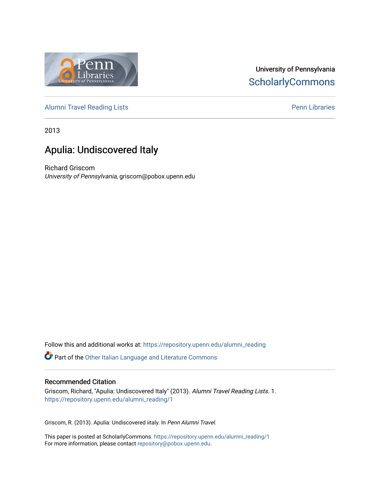

## University of Pennsylvania **ScholarlyCommons**

[Alumni Travel Reading Lists](https://repository.upenn.edu/alumni_reading) **Pennish Containers** [Penn Libraries](https://repository.upenn.edu/library) **Pennish Containers** 

2013

# Apulia: Undiscovered Italy

Richard Griscom University of Pennsylvania, griscom@pobox.upenn.edu

Follow this and additional works at: [https://repository.upenn.edu/alumni\\_reading](https://repository.upenn.edu/alumni_reading?utm_source=repository.upenn.edu%2Falumni_reading%2F1&utm_medium=PDF&utm_campaign=PDFCoverPages)

**P** Part of the [Other Italian Language and Literature Commons](http://network.bepress.com/hgg/discipline/474?utm_source=repository.upenn.edu%2Falumni_reading%2F1&utm_medium=PDF&utm_campaign=PDFCoverPages)

#### Recommended Citation

Griscom, Richard, "Apulia: Undiscovered Italy" (2013). Alumni Travel Reading Lists. 1. [https://repository.upenn.edu/alumni\\_reading/1](https://repository.upenn.edu/alumni_reading/1?utm_source=repository.upenn.edu%2Falumni_reading%2F1&utm_medium=PDF&utm_campaign=PDFCoverPages)

Griscom, R. (2013). Apulia: Undiscovered iitaly. In Penn Alumni Travel.

This paper is posted at ScholarlyCommons. [https://repository.upenn.edu/alumni\\_reading/1](https://repository.upenn.edu/alumni_reading/1)  For more information, please contact [repository@pobox.upenn.edu.](mailto:repository@pobox.upenn.edu)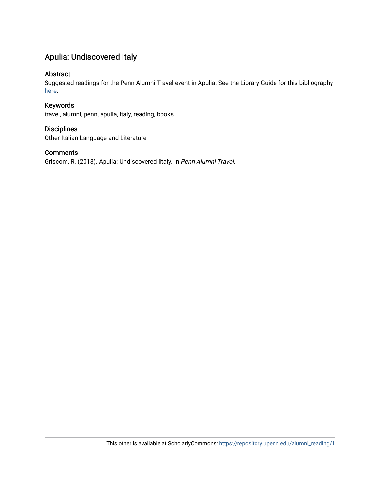## Apulia: Undiscovered Italy

#### Abstract

Suggested readings for the Penn Alumni Travel event in Apulia. See the Library Guide for this bibliography [here](http://guides.library.upenn.edu/aecontent.php?pid=507381&sid=4207307).

#### Keywords

travel, alumni, penn, apulia, italy, reading, books

#### **Disciplines**

Other Italian Language and Literature

#### Comments

Griscom, R. (2013). Apulia: Undiscovered iitaly. In Penn Alumni Travel.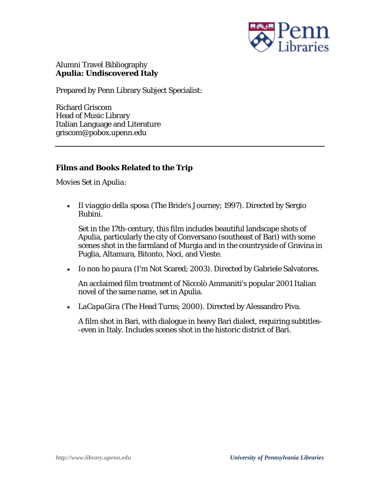

### Alumni Travel Bibliography **Apulia: Undiscovered Italy**

Prepared by Penn Library Subject Specialist:

Richard Griscom Head of Music Library Italian Language and Literature griscom@pobox.upenn.edu

### **Films and Books Related to the Trip**

*Movies Set in Apulia:* 

• *Il viaggio della sposa* (The Bride's Journey; 1997). Directed by Sergio Rubini.

Set in the 17th-century, this film includes beautiful landscape shots of Apulia, particularly the city of Conversano (southeast of Bari) with some scenes shot in the farmland of Murgia and in the countryside of Gravina in Puglia, Altamura, Bitonto, Noci, and Vieste.

• *Io non ho paura* (I'm Not Scared; 2003). Directed by Gabriele Salvatores.

An acclaimed film treatment of Niccolò Ammaniti's popular 2001 Italian novel of the same name, set in Apulia.

• *LaCapaGira* (The Head Turns; 2000). Directed by Alessandro Piva.

A film shot in Bari, with dialogue in heavy Bari dialect, requiring subtitles- -even in Italy. Includes scenes shot in the historic district of Bari.